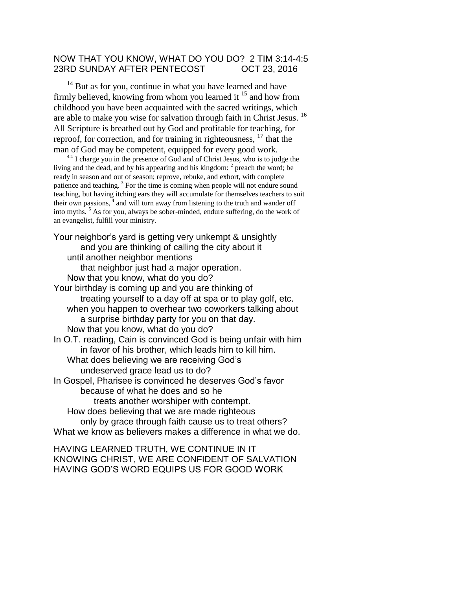## NOW THAT YOU KNOW, WHAT DO YOU DO? 2 TIM 3:14-4:5 23RD SUNDAY AFTER PENTECOST OCT 23, 2016

<sup>14</sup> But as for you, continue in what you have learned and have firmly believed, knowing from whom you learned it <sup>15</sup> and how from childhood you have been acquainted with the sacred writings, which are able to make you wise for salvation through faith in Christ Jesus. <sup>16</sup> All Scripture is breathed out by God and profitable for teaching, for reproof, for correction, and for training in righteousness,  $17$  that the man of God may be competent, equipped for every good work.

 $4.1$  I charge you in the presence of God and of Christ Jesus, who is to judge the living and the dead, and by his appearing and his kingdom:  $2$  preach the word; be ready in season and out of season; reprove, rebuke, and exhort, with complete patience and teaching.<sup>3</sup> For the time is coming when people will not endure sound teaching, but having itching ears they will accumulate for themselves teachers to suit their own passions, $4$  and will turn away from listening to the truth and wander off into myths. <sup>5</sup> As for you, always be sober-minded, endure suffering, do the work of an evangelist, fulfill your ministry.

Your neighbor's yard is getting very unkempt & unsightly and you are thinking of calling the city about it until another neighbor mentions that neighbor just had a major operation. Now that you know, what do you do? Your birthday is coming up and you are thinking of treating yourself to a day off at spa or to play golf, etc. when you happen to overhear two coworkers talking about a surprise birthday party for you on that day. Now that you know, what do you do? In O.T. reading, Cain is convinced God is being unfair with him in favor of his brother, which leads him to kill him. What does believing we are receiving God's undeserved grace lead us to do? In Gospel, Pharisee is convinced he deserves God's favor because of what he does and so he treats another worshiper with contempt. How does believing that we are made righteous only by grace through faith cause us to treat others? What we know as believers makes a difference in what we do.

HAVING LEARNED TRUTH, WE CONTINUE IN IT KNOWING CHRIST, WE ARE CONFIDENT OF SALVATION HAVING GOD'S WORD EQUIPS US FOR GOOD WORK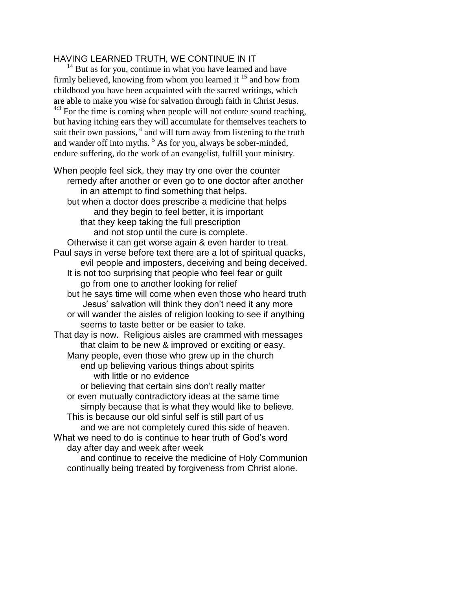## HAVING LEARNED TRUTH, WE CONTINUE IN IT

 $14$  But as for you, continue in what you have learned and have firmly believed, knowing from whom you learned it  $^{15}$  and how from childhood you have been acquainted with the sacred writings, which are able to make you wise for salvation through faith in Christ Jesus. <sup>4:3</sup> For the time is coming when people will not endure sound teaching, but having itching ears they will accumulate for themselves teachers to suit their own passions,  $4$  and will turn away from listening to the truth and wander off into myths.<sup>5</sup> As for you, always be sober-minded, endure suffering, do the work of an evangelist, fulfill your ministry.

When people feel sick, they may try one over the counter remedy after another or even go to one doctor after another in an attempt to find something that helps. but when a doctor does prescribe a medicine that helps and they begin to feel better, it is important that they keep taking the full prescription and not stop until the cure is complete. Otherwise it can get worse again & even harder to treat. Paul says in verse before text there are a lot of spiritual quacks, evil people and imposters, deceiving and being deceived. It is not too surprising that people who feel fear or guilt go from one to another looking for relief but he says time will come when even those who heard truth Jesus' salvation will think they don't need it any more or will wander the aisles of religion looking to see if anything seems to taste better or be easier to take. That day is now. Religious aisles are crammed with messages that claim to be new & improved or exciting or easy. Many people, even those who grew up in the church end up believing various things about spirits with little or no evidence or believing that certain sins don't really matter or even mutually contradictory ideas at the same time simply because that is what they would like to believe. This is because our old sinful self is still part of us and we are not completely cured this side of heaven. What we need to do is continue to hear truth of God's word day after day and week after week and continue to receive the medicine of Holy Communion continually being treated by forgiveness from Christ alone.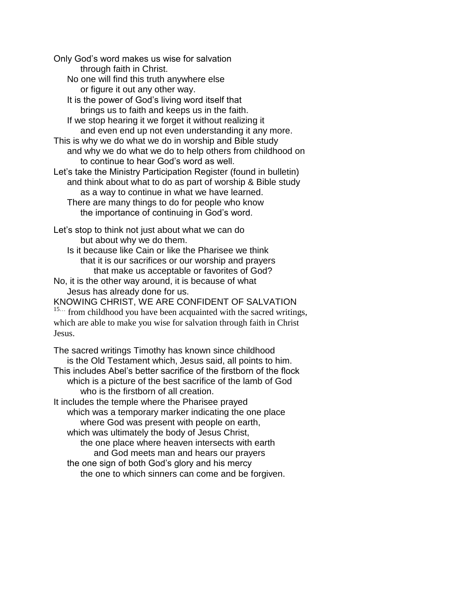Only God's word makes us wise for salvation through faith in Christ. No one will find this truth anywhere else or figure it out any other way. It is the power of God's living word itself that brings us to faith and keeps us in the faith. If we stop hearing it we forget it without realizing it and even end up not even understanding it any more. This is why we do what we do in worship and Bible study and why we do what we do to help others from childhood on to continue to hear God's word as well. Let's take the Ministry Participation Register (found in bulletin) and think about what to do as part of worship & Bible study as a way to continue in what we have learned. There are many things to do for people who know the importance of continuing in God's word. Let's stop to think not just about what we can do but about why we do them. Is it because like Cain or like the Pharisee we think that it is our sacrifices or our worship and prayers that make us acceptable or favorites of God? No, it is the other way around, it is because of what Jesus has already done for us. KNOWING CHRIST, WE ARE CONFIDENT OF SALVATION <sup>15...</sup> from childhood you have been acquainted with the sacred writings, which are able to make you wise for salvation through faith in Christ

The sacred writings Timothy has known since childhood is the Old Testament which, Jesus said, all points to him. This includes Abel's better sacrifice of the firstborn of the flock which is a picture of the best sacrifice of the lamb of God who is the firstborn of all creation. It includes the temple where the Pharisee prayed which was a temporary marker indicating the one place where God was present with people on earth, which was ultimately the body of Jesus Christ, the one place where heaven intersects with earth and God meets man and hears our prayers the one sign of both God's glory and his mercy the one to which sinners can come and be forgiven.

Jesus.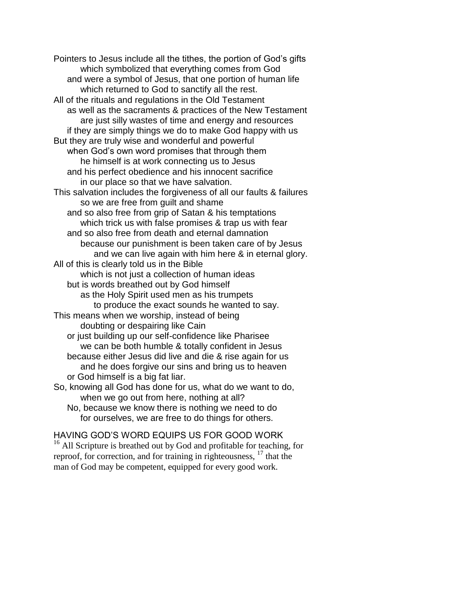Pointers to Jesus include all the tithes, the portion of God's gifts which symbolized that everything comes from God and were a symbol of Jesus, that one portion of human life which returned to God to sanctify all the rest. All of the rituals and regulations in the Old Testament as well as the sacraments & practices of the New Testament are just silly wastes of time and energy and resources if they are simply things we do to make God happy with us But they are truly wise and wonderful and powerful when God's own word promises that through them he himself is at work connecting us to Jesus and his perfect obedience and his innocent sacrifice in our place so that we have salvation. This salvation includes the forgiveness of all our faults & failures so we are free from guilt and shame and so also free from grip of Satan & his temptations which trick us with false promises & trap us with fear and so also free from death and eternal damnation because our punishment is been taken care of by Jesus and we can live again with him here & in eternal glory. All of this is clearly told us in the Bible which is not just a collection of human ideas but is words breathed out by God himself as the Holy Spirit used men as his trumpets to produce the exact sounds he wanted to say. This means when we worship, instead of being doubting or despairing like Cain or just building up our self-confidence like Pharisee we can be both humble & totally confident in Jesus because either Jesus did live and die & rise again for us and he does forgive our sins and bring us to heaven or God himself is a big fat liar. So, knowing all God has done for us, what do we want to do, when we go out from here, nothing at all?

No, because we know there is nothing we need to do for ourselves, we are free to do things for others.

## HAVING GOD'S WORD EQUIPS US FOR GOOD WORK

 $16$  All Scripture is breathed out by God and profitable for teaching, for reproof, for correction, and for training in righteousness, <sup>17</sup> that the man of God may be competent, equipped for every good work.